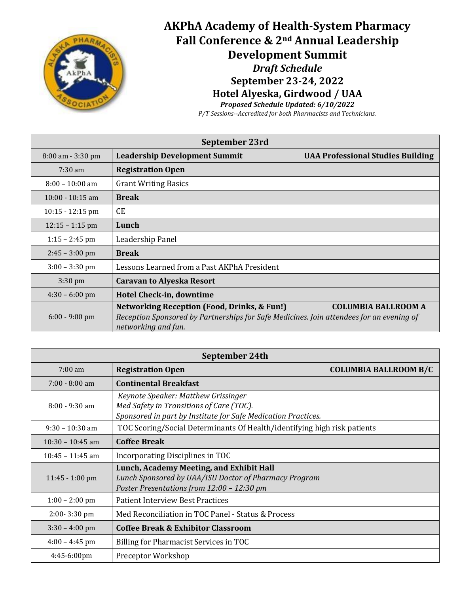

## **AKPhA Academy of Health-System Pharmacy Fall Conference & 2nd Annual Leadership Development Summit** *Draft Schedule* **September 23-24, 2022 Hotel Alyeska, Girdwood / UAA**

*Proposed Schedule Updated: 6/10/2022*

*P/T Sessions--Accredited for both Pharmacists and Technicians.* 

| September 23rd     |                                                                                                                                                                           |                                          |  |
|--------------------|---------------------------------------------------------------------------------------------------------------------------------------------------------------------------|------------------------------------------|--|
| 8:00 am - 3:30 pm  | <b>Leadership Development Summit</b>                                                                                                                                      | <b>UAA Professional Studies Building</b> |  |
| $7:30 \text{ am}$  | <b>Registration Open</b>                                                                                                                                                  |                                          |  |
| $8:00 - 10:00$ am  | <b>Grant Writing Basics</b>                                                                                                                                               |                                          |  |
| $10:00 - 10:15$ am | <b>Break</b>                                                                                                                                                              |                                          |  |
| $10:15 - 12:15$ pm | <b>CE</b>                                                                                                                                                                 |                                          |  |
| $12:15 - 1:15$ pm  | Lunch                                                                                                                                                                     |                                          |  |
| $1:15 - 2:45$ pm   | Leadership Panel                                                                                                                                                          |                                          |  |
| $2:45 - 3:00$ pm   | <b>Break</b>                                                                                                                                                              |                                          |  |
| $3:00 - 3:30$ pm   | Lessons Learned from a Past AKPhA President                                                                                                                               |                                          |  |
| $3:30 \text{ pm}$  | <b>Caravan to Alyeska Resort</b>                                                                                                                                          |                                          |  |
| $4:30 - 6:00$ pm   | Hotel Check-in, downtime                                                                                                                                                  |                                          |  |
| $6:00 - 9:00$ pm   | <b>Networking Reception (Food, Drinks, &amp; Fun!)</b><br>Reception Sponsored by Partnerships for Safe Medicines. Join attendees for an evening of<br>networking and fun. | <b>COLUMBIA BALLROOM A</b>               |  |

| September 24th     |                                                                                                                                                  |                              |  |
|--------------------|--------------------------------------------------------------------------------------------------------------------------------------------------|------------------------------|--|
| $7:00 \text{ am}$  | <b>Registration Open</b>                                                                                                                         | <b>COLUMBIA BALLROOM B/C</b> |  |
| $7:00 - 8:00$ am   | <b>Continental Breakfast</b>                                                                                                                     |                              |  |
| $8:00 - 9:30$ am   | Keynote Speaker: Matthew Grissinger<br>Med Safety in Transitions of Care (TOC).<br>Sponsored in part by Institute for Safe Medication Practices. |                              |  |
| $9:30 - 10:30$ am  | TOC Scoring/Social Determinants Of Health/identifying high risk patients                                                                         |                              |  |
| $10:30 - 10:45$ am | <b>Coffee Break</b>                                                                                                                              |                              |  |
| $10:45 - 11:45$ am | Incorporating Disciplines in TOC                                                                                                                 |                              |  |
| $11:45 - 1:00$ pm  | Lunch, Academy Meeting, and Exhibit Hall<br>Lunch Sponsored by UAA/ISU Doctor of Pharmacy Program<br>Poster Presentations from 12:00 - 12:30 pm  |                              |  |
| $1:00 - 2:00$ pm   | <b>Patient Interview Best Practices</b>                                                                                                          |                              |  |
| $2:00 - 3:30$ pm   | Med Reconciliation in TOC Panel - Status & Process                                                                                               |                              |  |
| $3:30 - 4:00$ pm   | <b>Coffee Break &amp; Exhibitor Classroom</b>                                                                                                    |                              |  |
| $4:00 - 4:45$ pm   | Billing for Pharmacist Services in TOC                                                                                                           |                              |  |
| 4:45-6:00pm        | Preceptor Workshop                                                                                                                               |                              |  |